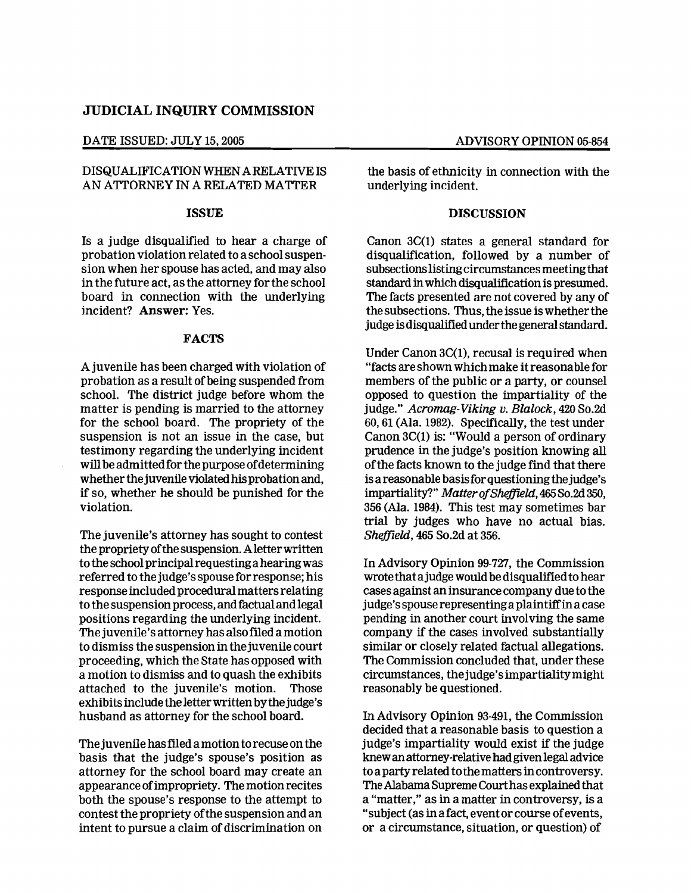## **JUDICIAL INQUIRY COMMISSION**

DATE ISSUED: JULY 15, 2005 ADVISORY OPINION 05-854

# DISQUALIFICATION WHEN ARELATIVE IS AN ATTORNEY IN A RELATED MATTER

# ISSUE

Is a judge disqualified to hear a charge of probation violation related to a school suspen· sion when her spouse has acted, and may also in the future act, as the attorney for the school board in connection with the underlying incident? Answer: Yes.

#### FACTS

A juvenile has been charged with violation of probation as a result of being suspended from school. The district judge before whom the matter is pending is married to the attorney for the school board. The propriety of the suspension is not an issue in the case, but testimony regarding the underlying incident will be admittedfor the purpose ofdetermining whether the juvenile violated his probation and, if so, whether he should be punished for the violation.

The juvenile's attorney has sought to contest the proprietyofthe suspension. Aletterwritten tothe schoolprincipalrequestinga hearingwas referred to the judge'sspouse for response; his response included procedural matters relating to the suspension process, and factual and legal positions regarding the underlying incident. The juvenile's attorney has alsofiled a motion to dismiss the suspension in thejuvenile court proceeding, which the State has opposed with a motion to dismiss and to quash the exhibits attached to the juvenile's motion. Those exhibitsinclude the letterwritten bythejudge's husband as attorney for the school board.

The juvenile hasfIled a motion to recuse on the basis that the judge's spouse's position as attorney for the school board may create an appearance ofimpropriety. The motion recites both the spouse's response to the attempt to contest the propriety ofthe suspension and an intent to pursue a claim of discrimination on

the basis of ethnicity in connection with the underlying incident.

### **DISCUSSION**

Canon 3C(I) states a general standard for disqualification, followed by a number of subsections listing circumstances meeting that standard inwhich disqualification is presumed. The facts presented are not covered by any of the subsections. Thus, the issue iswhetherthe judge isdisqualified underthe generalstandard.

Under Canon 3C(l), recusal is required when "facts are shown whichmake itreasonable for members of the public or a party, or counsel opposed to question the impartiality of the judge." *Acromag-Viking v. Blalock,* 420 So.2d 60, 61 (Ala. 1982). Specifically, the test under Canon 3C(1) is: "Would a person of ordinary prudence in the judge's position knowing all ofthe facts known to the judge find that there is a reasonable basis for questioning the judge's impartiality?" Matter of Sheffield, 465 So.2d 350, 356 (Ala. 1984). This test may sometimes bar trial by judges who have no actual bias. *Sheffield,* 465 So.2d at 356.

In Advisory Opinion 99-727, the Commission wrote that a judge would be disqualifiedto hear cases against an insurance company due tothe judge'sspouse representinga plaintiffina case pending in another court involving the same company if the cases involved substantially similar or closely related factual allegations. The Commission concluded that, under these circumstances, thejudge'simpartialitymight reasonably be questioned.

In Advisory Opinion 93-491, the Commission decided that a reasonable basis to question a judge's impartiality would exist if the judge knewanattorney-relative hadgiven legal advice to a party related tothe matters incontroversy. TheAlabama Supreme Courthas explained that a "matter," as in a matter in controversy, is a "subject (as in a fact, eventor course ofevents, or a circumstance, situation, or question) of